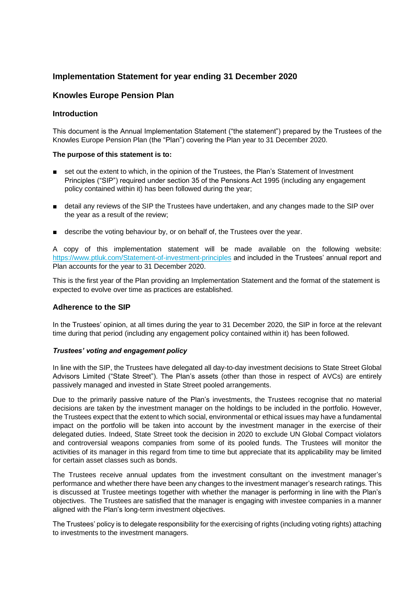# **Implementation Statement for year ending 31 December 2020**

## **Knowles Europe Pension Plan**

#### **Introduction**

This document is the Annual Implementation Statement ("the statement") prepared by the Trustees of the Knowles Europe Pension Plan (the "Plan") covering the Plan year to 31 December 2020.

#### **The purpose of this statement is to:**

- set out the extent to which, in the opinion of the Trustees, the Plan's Statement of Investment Principles ("SIP") required under section 35 of the Pensions Act 1995 (including any engagement policy contained within it) has been followed during the year;
- detail any reviews of the SIP the Trustees have undertaken, and any changes made to the SIP over the year as a result of the review;
- describe the voting behaviour by, or on behalf of, the Trustees over the year.

A copy of this implementation statement will be made available on the following website: [https://www.ptluk.com/Statement-of-investment-principles](https://urldefense.proofpoint.com/v2/url?u=https-3A__www.ptluk.com_Statement-2Dof-2Dinvestment-2Dprinciples&d=DwMGaQ&c=3NBXXUKukgVIjVXwt0Rin6h0GAxIKZespWWvcJx4w9c&r=4HtZKO7K2cUkpg6VZKwrmzRDpFrH2RB9kIokW5ZI73WBsCdlY6tZLds_ZIPVToW6&m=dmVfyBz7HyVwGgAGPpxC0dsz1Bo-VOTT7gBD6W3l4Kk&s=Rpp2JetRpjXe0RGqpAzONI-EobV3c2tk-hfllSPgbXU&e=) and included in the Trustees' annual report and Plan accounts for the year to 31 December 2020.

This is the first year of the Plan providing an Implementation Statement and the format of the statement is expected to evolve over time as practices are established.

#### **Adherence to the SIP**

In the Trustees' opinion, at all times during the year to 31 December 2020, the SIP in force at the relevant time during that period (including any engagement policy contained within it) has been followed.

#### *Trustees' voting and engagement policy*

In line with the SIP, the Trustees have delegated all day-to-day investment decisions to State Street Global Advisors Limited ("State Street"). The Plan's assets (other than those in respect of AVCs) are entirely passively managed and invested in State Street pooled arrangements.

Due to the primarily passive nature of the Plan's investments, the Trustees recognise that no material decisions are taken by the investment manager on the holdings to be included in the portfolio. However, the Trustees expect that the extent to which social, environmental or ethical issues may have a fundamental impact on the portfolio will be taken into account by the investment manager in the exercise of their delegated duties. Indeed, State Street took the decision in 2020 to exclude UN Global Compact violators and controversial weapons companies from some of its pooled funds. The Trustees will monitor the activities of its manager in this regard from time to time but appreciate that its applicability may be limited for certain asset classes such as bonds.

The Trustees receive annual updates from the investment consultant on the investment manager's performance and whether there have been any changes to the investment manager's research ratings. This is discussed at Trustee meetings together with whether the manager is performing in line with the Plan's objectives. The Trustees are satisfied that the manager is engaging with investee companies in a manner aligned with the Plan's long-term investment objectives.

The Trustees' policy is to delegate responsibility for the exercising of rights (including voting rights) attaching to investments to the investment managers.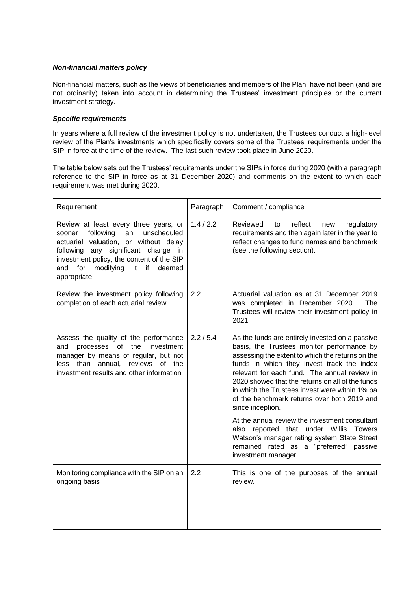### *Non-financial matters policy*

Non-financial matters, such as the views of beneficiaries and members of the Plan, have not been (and are not ordinarily) taken into account in determining the Trustees' investment principles or the current investment strategy.

### *Specific requirements*

In years where a full review of the investment policy is not undertaken, the Trustees conduct a high-level review of the Plan's investments which specifically covers some of the Trustees' requirements under the SIP in force at the time of the review. The last such review took place in June 2020.

The table below sets out the Trustees' requirements under the SIPs in force during 2020 (with a paragraph reference to the SIP in force as at 31 December 2020) and comments on the extent to which each requirement was met during 2020.

| Requirement                                                                                                                                                                                                                                                                 | Paragraph | Comment / compliance                                                                                                                                                                                                                                                                                                                                                                                                     |  |  |
|-----------------------------------------------------------------------------------------------------------------------------------------------------------------------------------------------------------------------------------------------------------------------------|-----------|--------------------------------------------------------------------------------------------------------------------------------------------------------------------------------------------------------------------------------------------------------------------------------------------------------------------------------------------------------------------------------------------------------------------------|--|--|
| Review at least every three years, or<br>unscheduled<br>following<br>an<br>sooner<br>actuarial valuation, or without delay<br>following any significant change in<br>investment policy, the content of the SIP<br>for<br>modifying<br>it if<br>deemed<br>and<br>appropriate | 1.4 / 2.2 | reflect<br>Reviewed<br>regulatory<br>to<br>new<br>requirements and then again later in the year to<br>reflect changes to fund names and benchmark<br>(see the following section).                                                                                                                                                                                                                                        |  |  |
| Review the investment policy following<br>completion of each actuarial review                                                                                                                                                                                               | 2.2       | Actuarial valuation as at 31 December 2019<br>was completed in December 2020.<br>The<br>Trustees will review their investment policy in<br>2021.                                                                                                                                                                                                                                                                         |  |  |
| Assess the quality of the performance<br>processes of<br>the investment<br>and<br>manager by means of regular, but not<br>less than annual,<br>reviews<br>of the<br>investment results and other information                                                                | 2.2 / 5.4 | As the funds are entirely invested on a passive<br>basis, the Trustees monitor performance by<br>assessing the extent to which the returns on the<br>funds in which they invest track the index<br>relevant for each fund. The annual review in<br>2020 showed that the returns on all of the funds<br>in which the Trustees invest were within 1% pa<br>of the benchmark returns over both 2019 and<br>since inception. |  |  |
|                                                                                                                                                                                                                                                                             |           | At the annual review the investment consultant<br>reported that under Willis<br><b>Towers</b><br>also<br>Watson's manager rating system State Street<br>remained rated as a "preferred"<br>passive<br>investment manager.                                                                                                                                                                                                |  |  |
| Monitoring compliance with the SIP on an<br>ongoing basis                                                                                                                                                                                                                   | 2.2       | This is one of the purposes of the annual<br>review.                                                                                                                                                                                                                                                                                                                                                                     |  |  |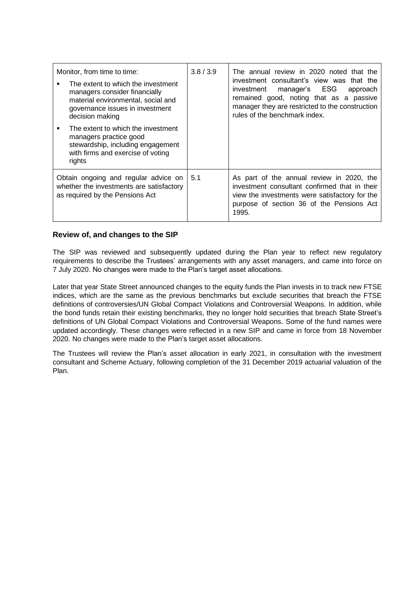| Monitor, from time to time:<br>The extent to which the investment<br>managers consider financially<br>material environmental, social and<br>governance issues in investment<br>decision making | 3.8/3.9 | The annual review in 2020 noted that the<br>investment consultant's view was that the<br>investment<br>manager's ESG<br>approach<br>remained good, noting that as a passive<br>manager they are restricted to the construction<br>rules of the benchmark index. |  |
|------------------------------------------------------------------------------------------------------------------------------------------------------------------------------------------------|---------|-----------------------------------------------------------------------------------------------------------------------------------------------------------------------------------------------------------------------------------------------------------------|--|
| The extent to which the investment<br>managers practice good<br>stewardship, including engagement<br>with firms and exercise of voting<br>rights                                               |         |                                                                                                                                                                                                                                                                 |  |
| Obtain ongoing and regular advice on<br>whether the investments are satisfactory<br>as required by the Pensions Act                                                                            | 5.1     | As part of the annual review in 2020, the<br>investment consultant confirmed that in their<br>view the investments were satisfactory for the<br>purpose of section 36 of the Pensions Act<br>1995.                                                              |  |

## **Review of, and changes to the SIP**

The SIP was reviewed and subsequently updated during the Plan year to reflect new regulatory requirements to describe the Trustees' arrangements with any asset managers, and came into force on 7 July 2020. No changes were made to the Plan's target asset allocations.

Later that year State Street announced changes to the equity funds the Plan invests in to track new FTSE indices, which are the same as the previous benchmarks but exclude securities that breach the FTSE definitions of controversies/UN Global Compact Violations and Controversial Weapons. In addition, while the bond funds retain their existing benchmarks, they no longer hold securities that breach State Street's definitions of UN Global Compact Violations and Controversial Weapons. Some of the fund names were updated accordingly. These changes were reflected in a new SIP and came in force from 18 November 2020. No changes were made to the Plan's target asset allocations.

The Trustees will review the Plan's asset allocation in early 2021, in consultation with the investment consultant and Scheme Actuary, following completion of the 31 December 2019 actuarial valuation of the Plan.